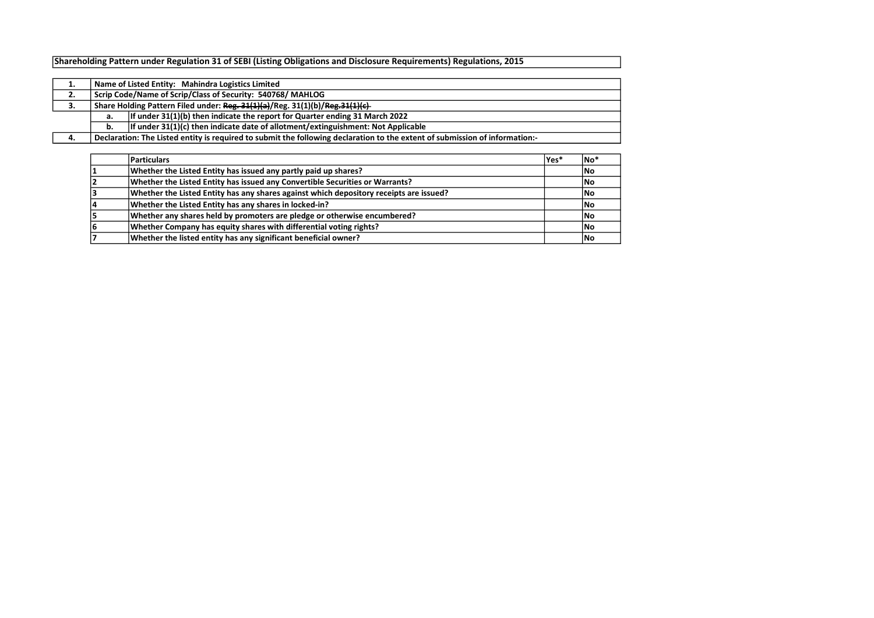Shareholding Pattern under Regulation 31 of SEBI (Listing Obligations and Disclosure Requirements) Regulations, 2015

| л. |                                                                                                                             | Name of Listed Entity: Mahindra Logistics Limited                                  |  |  |  |  |  |  |  |  |
|----|-----------------------------------------------------------------------------------------------------------------------------|------------------------------------------------------------------------------------|--|--|--|--|--|--|--|--|
| 2. | Scrip Code/Name of Scrip/Class of Security: 540768/MAHLOG                                                                   |                                                                                    |  |  |  |  |  |  |  |  |
| 3. | Share Holding Pattern Filed under: Reg. 31(1)(a)/Reg. 31(1)(b)/Reg. 31(1)(c)-                                               |                                                                                    |  |  |  |  |  |  |  |  |
|    | а.                                                                                                                          | If under 31(1)(b) then indicate the report for Quarter ending 31 March 2022        |  |  |  |  |  |  |  |  |
|    | b.                                                                                                                          | If under $31(1)(c)$ then indicate date of allotment/extinguishment: Not Applicable |  |  |  |  |  |  |  |  |
| 4. | Declaration: The Listed entity is required to submit the following declaration to the extent of submission of information:- |                                                                                    |  |  |  |  |  |  |  |  |

| Particulars                                                                            | lYes* | <b>No</b> * |
|----------------------------------------------------------------------------------------|-------|-------------|
| Whether the Listed Entity has issued any partly paid up shares?                        |       | <b>No</b>   |
| Whether the Listed Entity has issued any Convertible Securities or Warrants?           |       | <b>No</b>   |
| Whether the Listed Entity has any shares against which depository receipts are issued? |       | lNo         |
| Whether the Listed Entity has any shares in locked-in?                                 |       | <b>No</b>   |
| Whether any shares held by promoters are pledge or otherwise encumbered?               |       | <b>No</b>   |
| Whether Company has equity shares with differential voting rights?                     |       | <b>No</b>   |
| Whether the listed entity has any significant beneficial owner?                        |       | <b>INo</b>  |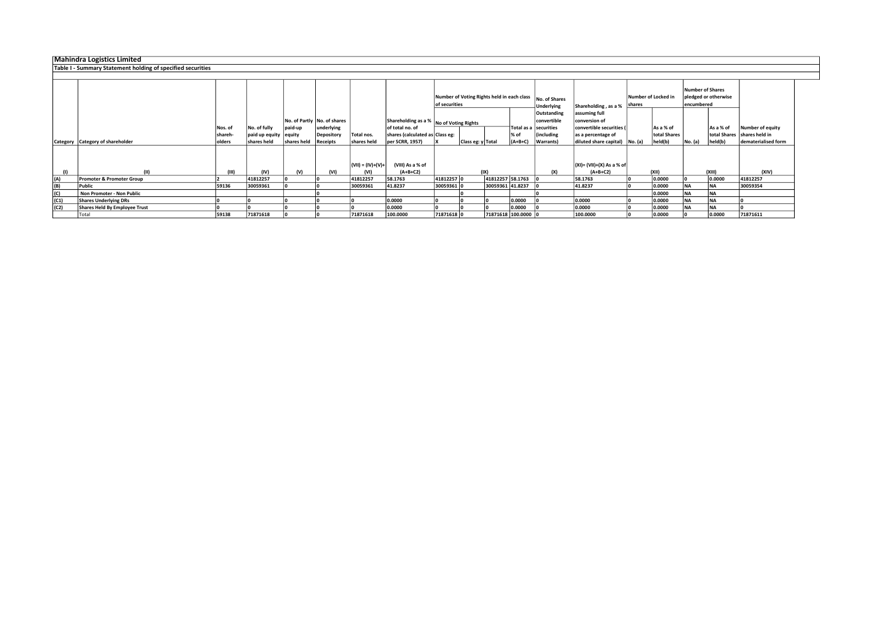Mahindra Logistics Limited Table I - Summary Statement holding of specified securities

|      |                                      |                 |                         |             |                             |                   |                                                            |                                            |                   |                  |                       |                             |                                |                     |              | <b>Number of Shares</b> |                      |                               |
|------|--------------------------------------|-----------------|-------------------------|-------------|-----------------------------|-------------------|------------------------------------------------------------|--------------------------------------------|-------------------|------------------|-----------------------|-----------------------------|--------------------------------|---------------------|--------------|-------------------------|----------------------|-------------------------------|
|      |                                      |                 |                         |             |                             |                   |                                                            | Number of Voting Rights held in each class |                   |                  |                       |                             |                                | Number of Locked in |              |                         | pledged or otherwise |                               |
|      |                                      |                 |                         |             |                             |                   |                                                            | of securities                              |                   |                  |                       | No. of Shares<br>Underlying | Shareholding, as a %           | shares              |              | encumbered              |                      |                               |
|      |                                      |                 |                         |             |                             |                   |                                                            |                                            |                   |                  |                       | Outstanding                 | assuming full                  |                     |              |                         |                      |                               |
|      |                                      |                 |                         |             | No. of Partly No. of shares |                   |                                                            |                                            |                   |                  |                       | convertible                 | conversion of                  |                     |              |                         |                      |                               |
|      |                                      | Nos. of         | No. of fully            | paid-up     | underlying                  |                   | Shareholding as a % No of Voting Rights<br>of total no. of |                                            |                   |                  | Total as a securities |                             | convertible securities (       |                     | As a % of    |                         | As a % of            | Number of equity              |
|      |                                      | <b>Ishareh</b>  | paid up equity   equity |             | Depository                  | Total nos.        | shares (calculated as Class eg:                            |                                            |                   |                  | % of                  | lincluding                  | as a percentage of             |                     | total Shares |                         |                      | total Shares   shares held in |
|      |                                      | <b>l</b> olders | shares held             | shares held |                             |                   |                                                            |                                            |                   |                  | $(A+B+C)$             |                             |                                |                     |              |                         |                      | dematerialised form           |
|      | Category Category of shareholder     |                 |                         |             | Receipts                    | shares held       | per SCRR, 1957)                                            |                                            | Class eg: y Total |                  |                       | <b>Warrants</b> )           | diluted share capital) No. (a) |                     | held(b)      | No. (a)                 | held(b)              |                               |
|      |                                      |                 |                         |             |                             | (VII) = (IV)+(V)+ | (VIII) As a % of                                           |                                            |                   |                  |                       |                             | $(XI) = (VII)+(X) As a % of$   |                     |              |                         |                      |                               |
|      | (III)                                | (III)           | (IV)                    | (V)         | (VI)                        | (VI)              | $(A+B+C2)$                                                 |                                            | (IX)              |                  |                       | (X)                         | $(A+B+C2)$                     |                     | (XII)        |                         | (XIII)               | (XIV)                         |
| (A)  | <b>Promoter &amp; Promoter Group</b> |                 | 41812257                |             |                             | 41812257          | 58.1763                                                    | 41812257 0                                 |                   | 41812257 58.1763 |                       |                             | 58.1763                        |                     | 0.0000       |                         | 0.0000               | 41812257                      |
| (B)  | Public                               | 59136           | 30059361                |             |                             | 30059361          | 41.8237                                                    | 30059361 0                                 |                   | 30059361 41.8237 |                       |                             | 41.8237                        |                     | 0.0000       | <b>INA</b>              | <b>NA</b>            | 30059354                      |
| (C)  | Non Promoter - Non Public            |                 |                         |             |                             |                   |                                                            |                                            |                   |                  |                       |                             |                                |                     | 0.0000       | <b>NA</b>               | <b>INA</b>           |                               |
| (C1) | <b>Shares Underlying DRs</b>         |                 |                         |             |                             |                   | 0.0000                                                     |                                            |                   |                  | 0.0000                |                             | 0.0000                         |                     | 0.0000       | <b>NA</b>               | <b>INA</b>           |                               |
| (C2) | <b>Shares Held By Employee Trust</b> |                 |                         |             |                             |                   | 0.0000                                                     |                                            |                   |                  | 0.0000                |                             | 0.0000                         |                     | 0.0000       | <b>NA</b>               | <b>NA</b>            |                               |
|      | Total                                | 59138           | 71871618                |             |                             | 71871618          | 100.0000                                                   | 71871618 0                                 |                   |                  | 71871618 100.0000     |                             | 100.0000                       |                     | 0.0000       |                         | 0.0000               | 71871611                      |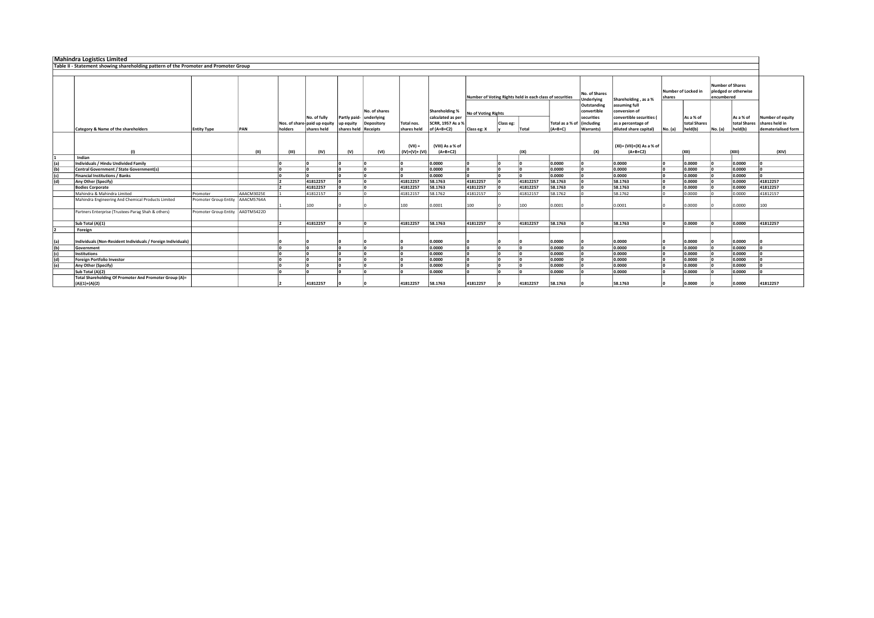| <b>Mahindra Logistics Limited</b> |                                                                                      |                                  |            |              |                                              |                                      |                             |                              |                                                          |                     |           |                                                          |                 |                                                        |                                                                                |         |                           |                                       |                           |                                    |
|-----------------------------------|--------------------------------------------------------------------------------------|----------------------------------|------------|--------------|----------------------------------------------|--------------------------------------|-----------------------------|------------------------------|----------------------------------------------------------|---------------------|-----------|----------------------------------------------------------|-----------------|--------------------------------------------------------|--------------------------------------------------------------------------------|---------|---------------------------|---------------------------------------|---------------------------|------------------------------------|
|                                   | Table II - Statement showing shareholding pattern of the Promoter and Promoter Group |                                  |            |              |                                              |                                      |                             |                              |                                                          |                     |           |                                                          |                 |                                                        |                                                                                |         |                           |                                       |                           |                                    |
|                                   |                                                                                      |                                  |            |              |                                              |                                      |                             |                              |                                                          |                     |           |                                                          |                 |                                                        |                                                                                |         |                           |                                       |                           |                                    |
|                                   |                                                                                      |                                  |            |              |                                              |                                      |                             |                              |                                                          |                     |           | Number of Voting Rights held in each class of securities |                 | No. of Shares<br>Underlying                            | Shareholding, as a %                                                           | shares  | Number of Locked in       | <b>Number of Shares</b><br>encumbered | pledged or otherwise      |                                    |
|                                   |                                                                                      |                                  |            |              | No. of fully<br>Nos. of share-paid up equity | Partly paid- underlying<br>up equity | No. of shares<br>Depository | Total nos.                   | Shareholding %<br>calculated as per<br>SCRR. 1957 As a % | No of Voting Rights | Class eg: |                                                          | Total as a % of | Outstanding<br>convertible<br>securities<br>(including | assuming full<br>conversion of<br>convertible securities<br>as a percentage of |         | As a % of<br>total Shares |                                       | As a % of<br>total Shares | Number of equity<br>shares held in |
|                                   | <b>Category &amp; Name of the shareholders</b>                                       | <b>Entity Type</b>               | PAN        | holders      | shares held                                  | shares held Receipts                 |                             | shares held                  | of (A+B+C2)                                              | Class eg: X         |           | Total                                                    | $(A+B+C)$       | Warrants)                                              | diluted share capital)                                                         | No. (a) | held(b)                   | No. (a)                               | held(b)                   | dematerialised form                |
|                                   | (1)                                                                                  |                                  | (11)       | (III)        | (IV)                                         | (V)                                  | (VI)                        | $(VII) =$<br>$(IV)+(V)+(VI)$ | (VIII) As a % of<br>$(A+B+C2)$                           |                     |           | (IX)                                                     |                 | (X)                                                    | (XI)= (VII)+(X) As a % of<br>$(A+B+C2)$                                        |         | (XII)                     |                                       | (XIII)                    | (XIV)                              |
|                                   | Indian                                                                               |                                  |            |              |                                              |                                      |                             |                              |                                                          |                     |           |                                                          |                 |                                                        |                                                                                |         |                           |                                       |                           |                                    |
| (a)                               | Individuals / Hindu Undivided Family                                                 |                                  |            |              |                                              |                                      |                             |                              | 0.0000                                                   |                     |           |                                                          | 0.0000          |                                                        | 0.0000                                                                         |         | 0.0000                    |                                       | 0.0000                    |                                    |
| (b)                               | <b>Central Government / State Government(s)</b>                                      |                                  |            | ١n           |                                              |                                      |                             |                              | 0.0000                                                   |                     | ١n        |                                                          | 0.0000          |                                                        | 0.0000                                                                         |         | 0.0000                    |                                       | 0.0000                    |                                    |
| (c)                               | <b>Financial Institutions / Banks</b>                                                |                                  |            |              |                                              |                                      |                             |                              | 0.0000                                                   |                     |           |                                                          | 0.0000          |                                                        | 0.0000                                                                         |         | 0.0000                    |                                       | 0.0000                    |                                    |
| (d)                               | Any Other (Specify)                                                                  |                                  |            |              | 41812257                                     |                                      |                             | 41812257                     | 58.1763                                                  | 41812257            |           | 41812257                                                 | 58.1763         |                                                        | 58.1763                                                                        |         | 0.0000                    |                                       | 0.0000                    | 41812257                           |
|                                   | <b>Bodies Corporate</b>                                                              |                                  |            |              | 41812257                                     |                                      |                             | 41812257                     | 58.1763                                                  | 41812257            |           | 41812257                                                 | 58.1763         |                                                        | 58.1763                                                                        |         | 0.0000                    |                                       | 0.0000                    | 41812257                           |
|                                   | Mahindra & Mahindra Limited                                                          | Promoter                         | AAACM3025E |              | 41812157                                     |                                      |                             | 41812157                     | 58.1762                                                  | 41812157            |           | 41812157                                                 | 58.1762         |                                                        | 58.1762                                                                        |         | 0.0000                    |                                       | 0.0000                    | 41812157                           |
|                                   | Mahindra Engineering And Chemical Products Limited                                   | Promoter Group Entity AAACM5764A |            |              | 100                                          |                                      |                             | 100                          | 0.0001                                                   | 100                 |           | 100                                                      | 0.0001          |                                                        | 0.0001                                                                         |         | 0.0000                    |                                       | 0.0000                    | 100                                |
|                                   | Partners Enterprise (Trustees-Parag Shah & others)                                   | Promoter Group Entity AADTM5422D |            |              |                                              |                                      |                             |                              |                                                          |                     |           |                                                          |                 |                                                        |                                                                                |         |                           |                                       |                           |                                    |
|                                   | Sub Total (A)(1)                                                                     |                                  |            | $\mathsf{L}$ | 41812257                                     |                                      |                             | 41812257                     | 58.1763                                                  | 41812257            |           | 41812257                                                 | 58.1763         |                                                        | 58.1763                                                                        |         | 0.0000                    |                                       | 0.0000                    | 41812257                           |
|                                   | Foreign                                                                              |                                  |            |              |                                              |                                      |                             |                              |                                                          |                     |           |                                                          |                 |                                                        |                                                                                |         |                           |                                       |                           |                                    |
| (a)                               | Individuals (Non-Resident Individuals / Foreign Individuals)                         |                                  |            |              |                                              |                                      |                             |                              | 0.0000                                                   |                     |           |                                                          | 0.0000          |                                                        | 0.0000                                                                         |         | 0.0000                    |                                       | 0.0000                    |                                    |
| (b)                               | Government                                                                           |                                  |            |              |                                              |                                      |                             |                              | 0.0000                                                   |                     |           |                                                          | 0.0000          |                                                        | 0.0000                                                                         |         | 0.0000                    |                                       | 0.0000                    |                                    |
| (c)                               | <b>Institutions</b>                                                                  |                                  |            |              |                                              |                                      |                             |                              | 0.0000                                                   |                     |           |                                                          | 0.0000          |                                                        | 0.0000                                                                         |         | 0.0000                    |                                       | 0.0000                    |                                    |
|                                   | <b>Foreign Portfolio Investor</b>                                                    |                                  |            |              |                                              |                                      |                             |                              | 0.0000                                                   |                     |           |                                                          | 0.0000          |                                                        | 0.0000                                                                         |         | 0.0000                    |                                       | 0.0000                    |                                    |
| $\frac{d}{e}$                     | Any Other (Specify)                                                                  |                                  |            |              |                                              |                                      |                             |                              | 0.0000                                                   |                     |           |                                                          | 0.0000          |                                                        | 0.0000                                                                         |         | 0.0000                    |                                       | 0.0000                    |                                    |
|                                   | Sub Total (A)(2)                                                                     |                                  |            |              |                                              |                                      |                             |                              | 0.0000                                                   |                     |           |                                                          | 0.0000          |                                                        | 0.0000                                                                         |         | 0.0000                    |                                       | 0.0000                    |                                    |
|                                   | Total Shareholding Of Promoter And Promoter Group (A)=<br>$(A)(1)+(A)(2)$            |                                  |            |              | 41812257                                     |                                      |                             | 41812257                     | 58.1763                                                  | 41812257            |           | 41812257                                                 | 58.1763         |                                                        | 58.1763                                                                        |         | 0.0000                    |                                       | 0.0000                    | 41812257                           |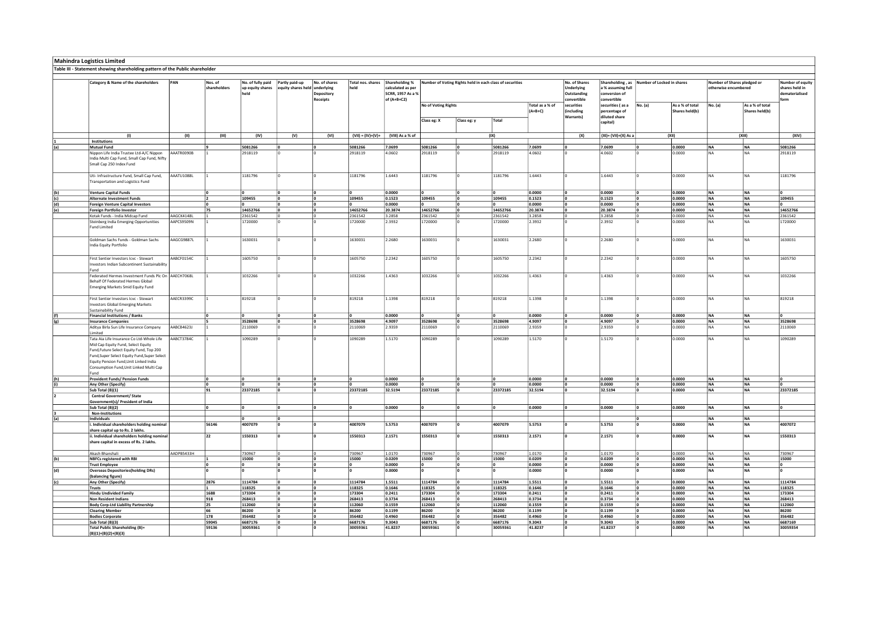| Mahindra Logistics Limited<br>Table III - Statement showing shareholding pattern of the Public shareholder                                                                                                                                                               |            |                         |                                               |                                      |                                           |                           |                                                          |                            |             |                                                          |                              |                                                   |                                                        |                            |                                   |                                                     |                                   |                                                             |
|--------------------------------------------------------------------------------------------------------------------------------------------------------------------------------------------------------------------------------------------------------------------------|------------|-------------------------|-----------------------------------------------|--------------------------------------|-------------------------------------------|---------------------------|----------------------------------------------------------|----------------------------|-------------|----------------------------------------------------------|------------------------------|---------------------------------------------------|--------------------------------------------------------|----------------------------|-----------------------------------|-----------------------------------------------------|-----------------------------------|-------------------------------------------------------------|
| Category & Name of the shareholders                                                                                                                                                                                                                                      | PAN        | Nos. of<br>shareholders | No. of fully paid<br>up equity shares<br>held | Partly paid-up<br>equity shares held | No. of shares<br>underlying<br>Depository | Total nos. shares<br>held | Shareholding %<br>calculated as per<br>SCRR, 1957 As a % |                            |             | Number of Voting Rights held in each class of securities |                              | No. of Shares<br><b>Underlying</b><br>Outstanding | Shareholding, as<br>a % assuming full<br>conversion of | Number of Locked in shares |                                   | Number of Shares pledged or<br>otherwise encumbered |                                   | <b>Jumber of equity</b><br>shares held in<br>dematerialised |
|                                                                                                                                                                                                                                                                          |            |                         |                                               |                                      | Receipts                                  |                           | of (A+B+C2)                                              | <b>No of Voting Rights</b> |             |                                                          | Total as a % of<br>$(A+B+C)$ | onvertible<br>securities<br>including             | convertible<br>securities (as a<br>percentage of       | No. (a)                    | As a % of total<br>Shares held(b) | No. (a)                                             | As a % of total<br>Shares held(b) |                                                             |
|                                                                                                                                                                                                                                                                          |            |                         |                                               |                                      |                                           |                           |                                                          | Class eg: X                | Class eg: y | Total                                                    |                              | <b>Warrants</b>                                   | diluted share<br>capital)                              |                            |                                   |                                                     |                                   |                                                             |
| (1)<br>Institutions                                                                                                                                                                                                                                                      | (II)       | (III)                   | (IV)                                          | (V)                                  | (VI)                                      |                           | (VII) = (IV)+(V)+ (VIII) As a % of                       |                            |             | (IX)                                                     |                              | (X)                                               | (XI)= (VII)+(X) As a                                   |                            | (XII)                             |                                                     | (XIII)                            | (XIV)                                                       |
| <b>Mutual Fund</b>                                                                                                                                                                                                                                                       |            |                         | 5081266                                       |                                      |                                           | 5081266                   | 7.0699                                                   | 5081266                    |             | 5081266                                                  | 7.0699                       |                                                   | 7.0699                                                 |                            | 0.0000                            | NA                                                  | NA                                | 5081266                                                     |
| Nippon Life India Trustee Ltd-A/C Nippon<br>India Multi Cap Fund, Small Cap Fund, Nifty<br>Small Cap 250 Index Fund                                                                                                                                                      | AAATR0090B |                         | 2918119                                       |                                      |                                           | 2918119                   | 4.0602                                                   | 2918119                    |             | 2918119                                                  | 4.0602                       |                                                   | 4.0602                                                 |                            | 0.0000                            | NΔ                                                  | l N A                             | 2918119                                                     |
| Uti- Infrastructure Fund, Small Cap Fund,<br>Transportation and Logistics Fund                                                                                                                                                                                           | AAATU1088L |                         | 1181796                                       |                                      |                                           | 1181796                   | 1.6443                                                   | 1181796                    |             | 1181796                                                  | 1.6443                       |                                                   | 1.6443                                                 |                            | 0.0000                            | N <sub>A</sub>                                      | N <sub>A</sub>                    | 1181796                                                     |
| <b>Venture Capital Funds</b>                                                                                                                                                                                                                                             |            |                         |                                               |                                      |                                           |                           | 0.0000                                                   | 0                          |             |                                                          | 0.0000                       |                                                   | 0.0000                                                 |                            | 0.0000                            | <b>NA</b>                                           | <b>NA</b>                         | 0                                                           |
| <b>Alternate Investment Funds</b>                                                                                                                                                                                                                                        |            |                         | 109455                                        |                                      |                                           | 109455                    | 0.1523                                                   | 109455                     |             | 109455                                                   | 0.1523                       |                                                   | 0.1523                                                 |                            | 0.0000                            | <b>NA</b>                                           | <b>NA</b>                         | 109455                                                      |
| <b>Foreign Venture Capital Investors</b><br><b>Foreign Portfolio Investor</b>                                                                                                                                                                                            |            | 75                      | 14652766                                      |                                      |                                           | 14652766                  | 0.0000<br>20.3874                                        | 14652766                   |             | 14652766                                                 | 0.0000<br>20.3874            |                                                   | 0.0000<br>20.3874                                      |                            | 0.0000<br>0.0000                  | <b>NA</b><br><b>NA</b>                              | <b>NA</b><br><b>NA</b>            | 14652766                                                    |
| Kotak Funds - India Midcap Fund                                                                                                                                                                                                                                          | AAGCK4148L |                         | 2361542                                       |                                      |                                           | 2361542                   | 3.2858                                                   | 2361542                    |             | 2361542                                                  | 3.2858                       |                                                   | 3.2858                                                 |                            | 0.0000                            | NA.                                                 | NA                                | 2361542                                                     |
| Steinberg India Emerging Opportunities<br><b>Fund Limited</b>                                                                                                                                                                                                            | AAPCS9509N |                         | 1720000                                       |                                      |                                           | 1720000                   | 2.3932                                                   | 1720000                    |             | 1720000                                                  | 2.3932                       |                                                   | 2.3932                                                 |                            | 0.0000                            | <b>NA</b>                                           | l NA                              | 1720000                                                     |
| Goldman Sachs Funds - Goldman Sachs<br>India Equity Portfolio                                                                                                                                                                                                            | AAGCG9887L |                         | 1630031                                       |                                      |                                           | 1630031                   | 2.2680                                                   | 1630031                    |             | 1630031                                                  | 2.2680                       |                                                   | 2.2680                                                 |                            | 0.0000                            | <b>NA</b>                                           | NA.                               | 1630031                                                     |
| First Sentier Investors Icvc - Stewart<br>Investors Indian Subcontinent Sustainability<br>Fund                                                                                                                                                                           | AABCF0154C |                         | 1605750                                       |                                      |                                           | 1605750                   | 2.2342                                                   | 1605750                    |             | 1605750                                                  | 2.2342                       |                                                   | 2.2342                                                 |                            | 0.0000                            | <b>NA</b>                                           | <b>NA</b>                         | 1605750                                                     |
| Federated Hermes Investment Funds Plc On AAECH7068L<br>Behalf Of Federated Hermes Global<br><b>Emerging Markets Smid Equity Fund</b>                                                                                                                                     |            |                         | 1032266                                       |                                      |                                           | 1032266                   | 1.4363                                                   | 1032266                    |             | 1032266                                                  | 1.4363                       |                                                   | 1.4363                                                 |                            | 0.0000                            | NA                                                  | NA                                | 1032266                                                     |
| First Sentier Investors Icvc - Stewart<br>westors Global Emerging Markets                                                                                                                                                                                                | AAECR3399C |                         | 819218                                        |                                      |                                           | 819218                    | 1.1398                                                   | 819218                     |             | 819218                                                   | 1.1398                       |                                                   | 1.1398                                                 |                            | 0.0000                            | NA.                                                 | N <sub>A</sub>                    | 819218                                                      |
| <b>Sustainability Fund</b><br>Financial Institutions / Banks                                                                                                                                                                                                             |            |                         |                                               |                                      |                                           |                           | 0.0000                                                   |                            |             |                                                          | 0.0000                       |                                                   | 0.0000                                                 |                            | 0.0000                            | NA                                                  | <b>NA</b>                         |                                                             |
| <b>Insurance Companies</b>                                                                                                                                                                                                                                               |            |                         | 3528698                                       |                                      |                                           | 3528698                   | 4.9097                                                   | 3528698                    |             | 3528698                                                  | 4.9097                       |                                                   | 4.9097                                                 |                            | 0.0000                            | <b>NA</b>                                           | <b>NA</b>                         | 3528698                                                     |
| Aditya Birla Sun Life Insurance Company<br>Limited                                                                                                                                                                                                                       | AABCB4623J |                         | 2110069                                       |                                      |                                           | 2110069                   | 2.9359                                                   | 2110069                    |             | 2110069                                                  | 2.9359                       |                                                   | 2.9359                                                 |                            | 0.0000                            | <b>NA</b>                                           | <b>NA</b>                         | 2110069                                                     |
| Tata Aia Life Insurance Co Ltd-Whole Life<br>Mid Cap Equity Fund, Select Equity<br>Fund, Future Select Equity Fund, Top 200<br>Fund, Super Select Equity Fund, Super Select<br>Equity Pension Fund, Unit Linked India<br>Consumption Fund, Unit Linked Multi Cap<br>Fund | AABCT3784C |                         | 1090289                                       |                                      |                                           | 1090289                   | 1.5170                                                   | 1090289                    |             | 1090289                                                  | 1.5170                       |                                                   | 1.5170                                                 |                            | 0.0000                            | I N A                                               | <b>NA</b>                         | 1090289                                                     |
| <b>Provident Funds/ Pension Funds</b>                                                                                                                                                                                                                                    |            |                         |                                               |                                      |                                           |                           | 0.0000                                                   |                            |             |                                                          | 0.0000                       |                                                   | 0.0000                                                 |                            | 0.0000                            | <b>NA</b>                                           | <b>NA</b>                         |                                                             |
| Any Other (Specify)                                                                                                                                                                                                                                                      |            |                         |                                               |                                      |                                           |                           | 0.0000                                                   |                            |             |                                                          | 0.0000                       |                                                   | 0.0000                                                 |                            | 0.0000                            | NA                                                  | <b>NA</b>                         |                                                             |
| Sub Total (B)(1)<br><b>Central Government/ State</b>                                                                                                                                                                                                                     |            | 91                      | 23372185                                      |                                      |                                           | 23372185                  | 32.5194                                                  | 23372185                   |             | 23372185                                                 | 32.5194                      |                                                   | 32.5194                                                |                            | 0.0000                            | <b>NA</b>                                           | <b>NA</b>                         | 23372185                                                    |
| Government(s)/ President of India                                                                                                                                                                                                                                        |            |                         |                                               |                                      |                                           |                           |                                                          |                            |             |                                                          |                              |                                                   |                                                        |                            |                                   |                                                     |                                   |                                                             |
| Sub Total (B)(2)<br>Non-Institutions                                                                                                                                                                                                                                     |            |                         |                                               |                                      |                                           |                           | 0.0000                                                   |                            |             |                                                          | 0.0000                       |                                                   | 0.0000                                                 |                            | 0.0000                            | <b>NA</b>                                           | <b>NA</b>                         |                                                             |
| <b>Individuals</b>                                                                                                                                                                                                                                                       |            |                         |                                               |                                      |                                           |                           |                                                          |                            |             |                                                          |                              |                                                   |                                                        |                            |                                   | <b>NA</b>                                           | <b>NA</b>                         |                                                             |
| Individual shareholders holding nominal<br>share capital up to Rs. 2 lakhs.                                                                                                                                                                                              |            | 56146                   | 4007079                                       |                                      |                                           | 4007079                   | 5.5753                                                   | 4007079                    |             | 4007079                                                  | 5.5753                       |                                                   | 5.5753                                                 |                            | 0.0000                            | NA                                                  | <b>NA</b>                         | 4007072                                                     |
| ii. Individual shareholders holding nominal<br>share capital in excess of Rs. 2 lakhs.                                                                                                                                                                                   |            | 22                      | 1550313                                       |                                      |                                           | 1550313                   | 2.1571                                                   | 1550313                    |             | 1550313                                                  | 2.1571                       |                                                   | 2.1571                                                 |                            | 0.0000                            | NA                                                  | <b>NA</b>                         | 1550313                                                     |
| Akash Bhanshali                                                                                                                                                                                                                                                          | AADPB5433H |                         | 730967                                        |                                      |                                           | 730967                    | 1.0170                                                   | 730967                     |             | 730967                                                   | 1.0170                       |                                                   | 1.0170                                                 |                            | 0.0000                            | l NA                                                | <b>NA</b>                         | 730967                                                      |
| NBFCs registered with RBI                                                                                                                                                                                                                                                |            |                         | 15000                                         |                                      |                                           | 15000                     | 0.0209                                                   | 15000                      |             | 15000                                                    | 0.0209                       |                                                   | 0.0209                                                 |                            | 0.0000                            | NA                                                  | <b>NA</b>                         | 15000                                                       |
| <b>Trust Employee</b><br><b>Overseas Depositories (holding DRs)</b>                                                                                                                                                                                                      |            |                         |                                               |                                      |                                           |                           | 0.0000<br>0.0000                                         |                            |             |                                                          | 0.0000<br>0.0000             |                                                   | 0.0000<br>0.0000                                       |                            | 0.0000<br>0.0000                  | NA<br><b>NA</b>                                     | <b>NA</b><br><b>NA</b>            |                                                             |
| (balancing figure)                                                                                                                                                                                                                                                       |            |                         |                                               |                                      |                                           |                           |                                                          |                            |             |                                                          |                              |                                                   |                                                        |                            |                                   |                                                     |                                   |                                                             |
| Any Other (Specify)                                                                                                                                                                                                                                                      |            | 2876                    | 1114784                                       |                                      |                                           | 1114784                   | 1.5511                                                   | 1114784                    |             | 1114784                                                  | 1.5511                       |                                                   | 1.5511                                                 |                            | 0.0000                            | <b>NA</b>                                           | <b>NA</b>                         | 1114784                                                     |
| <b>Trusts</b><br><b>Hindu Undivided Family</b>                                                                                                                                                                                                                           |            | 1688                    | 118325<br>173304                              | ١n                                   | In.                                       | 118325<br>173304          | 0.1646<br>0.2411                                         | 118325<br>173304           |             | 118325<br>173304                                         | 0.1646<br>0.2411             |                                                   | 0.1646<br>0.2411                                       |                            | 0.0000<br>0.0000                  | NA<br><b>NA</b>                                     | NA<br><b>NA</b>                   | 118325<br>173304                                            |
| <b>Non Resident Indians</b>                                                                                                                                                                                                                                              |            | 918                     | 268413                                        |                                      |                                           | 268413                    | 0.3734                                                   | 268413                     |             | 268413                                                   | 0.3734                       |                                                   | 0.3734                                                 |                            | 0.0000                            | NA                                                  | <b>NA</b>                         | 268413                                                      |
| <b>Body Corp-Ltd Liability Partnership</b>                                                                                                                                                                                                                               |            | 25                      | 112060                                        |                                      |                                           | 112060                    | 0.1559                                                   | 112060                     |             | 112060                                                   | 0.1559                       |                                                   | 0.1559                                                 |                            | 0.0000                            | <b>NA</b>                                           | <b>NA</b>                         | 112060                                                      |
| <b>Clearing Member</b>                                                                                                                                                                                                                                                   |            | 66                      | 86200                                         |                                      |                                           | 86200                     | 0.1199                                                   | 86200                      |             | 86200                                                    | 0.1199                       |                                                   | 0.1199                                                 |                            | 0.0000                            | <b>NA</b>                                           | <b>NA</b>                         | 86200                                                       |
| <b>Bodies Corporate</b>                                                                                                                                                                                                                                                  |            | 178                     | 356482                                        |                                      |                                           | 356482                    | 0.4960                                                   | 356482                     |             | 356482                                                   | 0.4960                       |                                                   | 0.4960                                                 |                            | 0.0000                            | <b>NA</b>                                           | <b>NA</b>                         | 356482                                                      |
| Sub Total (B)(3)                                                                                                                                                                                                                                                         |            | 59045                   | 6687176                                       |                                      |                                           | 6687176                   | 9.3043                                                   | 6687176                    |             | 6687176                                                  | 9.3043                       |                                                   | 9.3043                                                 |                            | 0.0000                            | <b>NA</b>                                           | <b>NA</b>                         | 6687169                                                     |
| Total Public Shareholding (B)=<br>$(B)(1)+(B)(2)+(B)(3)$                                                                                                                                                                                                                 |            | 59136                   | 30059361                                      |                                      |                                           | 30059361                  | 41.8237                                                  | 30059361                   |             | 30059361                                                 | 41.8237                      |                                                   | 41.8237                                                |                            | 0.0000                            | <b>NA</b>                                           | NA                                | 30059354                                                    |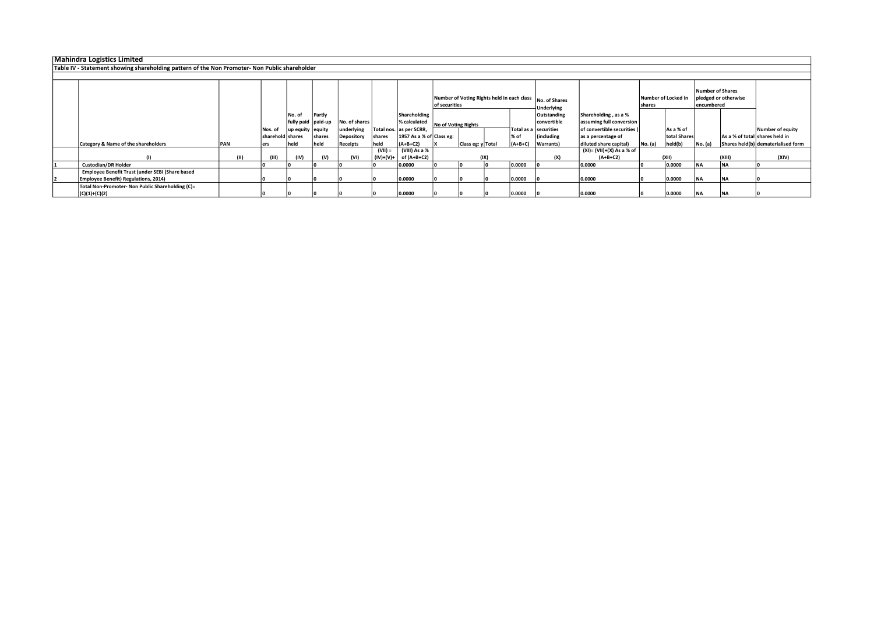| Mahindra Logistics Limited                                                                    |            |                  |                    |        |               |             |                          |               |                     |      |           |                                                           |                             |         |                     |                  |                      |                                    |
|-----------------------------------------------------------------------------------------------|------------|------------------|--------------------|--------|---------------|-------------|--------------------------|---------------|---------------------|------|-----------|-----------------------------------------------------------|-----------------------------|---------|---------------------|------------------|----------------------|------------------------------------|
| Table IV - Statement showing shareholding pattern of the Non Promoter- Non Public shareholder |            |                  |                    |        |               |             |                          |               |                     |      |           |                                                           |                             |         |                     |                  |                      |                                    |
|                                                                                               |            |                  |                    |        |               |             |                          |               |                     |      |           |                                                           |                             |         |                     |                  |                      |                                    |
|                                                                                               |            |                  |                    |        |               |             |                          |               |                     |      |           | Number of Voting Rights held in each class  No. of Shares |                             |         | Number of Locked in | Number of Shares | pledged or otherwise |                                    |
|                                                                                               |            |                  |                    |        |               |             |                          | of securities |                     |      |           | <b>Underlying</b>                                         |                             | shares  |                     | encumbered       |                      |                                    |
|                                                                                               |            |                  | No. of             | Partly |               |             | Shareholding             |               |                     |      |           | Outstanding                                               | Shareholding, as a %        |         |                     |                  |                      |                                    |
|                                                                                               |            |                  | fully paid paid-up |        | No. of shares |             | % calculated             |               | No of Voting Rights |      |           | convertible                                               | assuming full conversion    |         |                     |                  |                      |                                    |
|                                                                                               |            | Nos. of          | up equity   equity |        | underlying    |             | Total nos. as per SCRR,  |               |                     |      |           | Total as a securities                                     | of convertible securities ( |         | As a % of           |                  |                      | Number of equity                   |
|                                                                                               |            | sharehold shares |                    | shares | Depository    | shares      | 1957 As a % of Class eg: |               |                     |      | % of      | <i>lincluding</i>                                         | as a percentage of          |         | total Shares        |                  |                      | As a % of total shares held in     |
| Category & Name of the shareholders                                                           | <b>PAN</b> | ers              | held               | held   | Receipts      | held        | $(A+B+C2)$               |               | Class eg: y Total   |      | $(A+B+C)$ | Warrants)                                                 | diluted share capital)      | No. (a) | held(b)             | No. (a)          |                      | Shares held(b) dematerialised form |
|                                                                                               |            |                  |                    |        |               | (VII) =     | (VIII) As a %            |               |                     |      |           |                                                           | (XI)= (VII)+(X) As a % of   |         |                     |                  |                      |                                    |
|                                                                                               | (11)       | (III)            | (IV)               | (V)    | (VI)          | $(IV)+(V)+$ | of (A+B+C2)              |               |                     | (IX) |           | (X)                                                       | $(A+B+C2)$                  |         | (XII)               |                  | (XIII)               | (XIV)                              |
| <b>Custodian/DR Holder</b>                                                                    |            |                  |                    |        |               |             | 0.0000                   |               |                     |      | 0.0000    |                                                           | 0.0000                      |         | 0.0000              | <b>INA</b>       | <b>NA</b>            |                                    |
| Employee Benefit Trust (under SEBI (Share based                                               |            |                  |                    |        |               |             |                          |               |                     |      |           |                                                           |                             |         |                     |                  |                      |                                    |
| <b>Employee Benefit) Regulations, 2014)</b>                                                   |            |                  |                    |        |               |             | 0.0000                   |               |                     |      | 0.0000    |                                                           | 0.0000                      |         | 0.0000              | <b>INA</b>       | <b>NA</b>            |                                    |
| Total Non-Promoter- Non Public Shareholding (C)=                                              |            |                  |                    |        |               |             |                          |               |                     |      |           |                                                           |                             |         |                     |                  |                      |                                    |
| $(C)(1)+(C)(2)$                                                                               |            |                  |                    |        |               |             | 0.0000                   |               |                     |      | 0.0000    |                                                           | 0.0000                      |         | 0.0000              | <b>INA</b>       | <b>NA</b>            |                                    |